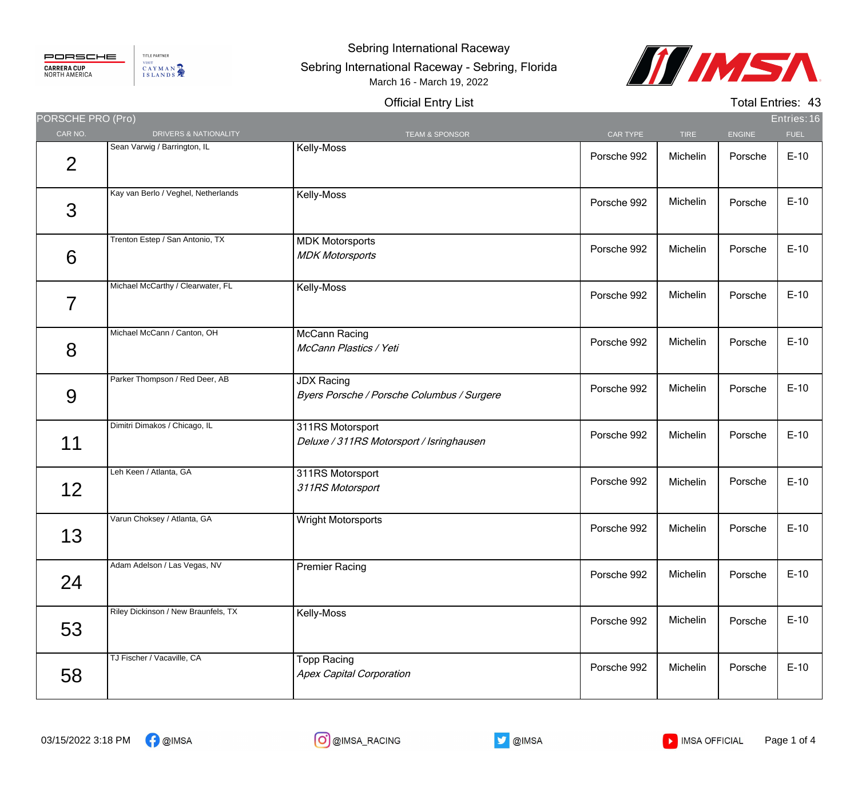## PORSCHE **CARRERA CUP**<br>NORTH AMERICA

TITLE PARTNER VISIT CAYMAN

## Sebring International Raceway

## Sebring International Raceway - Sebring, Florida March 16 - March 19, 2022



## Official Entry List

Total Entries: 43

| PORSCHE PRO (Pro) |                                     |                                                                 |             |             |               | Entries: 16 |
|-------------------|-------------------------------------|-----------------------------------------------------------------|-------------|-------------|---------------|-------------|
| CAR NO.           | DRIVERS & NATIONALITY               | <b>TEAM &amp; SPONSOR</b>                                       | CAR TYPE    | <b>TIRE</b> | <b>ENGINE</b> | <b>FUEL</b> |
| $\overline{2}$    | Sean Varwig / Barrington, IL        | Kelly-Moss                                                      | Porsche 992 | Michelin    | Porsche       | $E-10$      |
| 3                 | Kay van Berlo / Veghel, Netherlands | Kelly-Moss                                                      | Porsche 992 | Michelin    | Porsche       | $E-10$      |
| 6                 | Trenton Estep / San Antonio, TX     | <b>MDK Motorsports</b><br><b>MDK Motorsports</b>                | Porsche 992 | Michelin    | Porsche       | $E-10$      |
| 7                 | Michael McCarthy / Clearwater, FL   | Kelly-Moss                                                      | Porsche 992 | Michelin    | Porsche       | $E-10$      |
| 8                 | Michael McCann / Canton, OH         | <b>McCann Racing</b><br>McCann Plastics / Yeti                  | Porsche 992 | Michelin    | Porsche       | $E-10$      |
| 9                 | Parker Thompson / Red Deer, AB      | <b>JDX Racing</b><br>Byers Porsche / Porsche Columbus / Surgere | Porsche 992 | Michelin    | Porsche       | $E-10$      |
| 11                | Dimitri Dimakos / Chicago, IL       | 311RS Motorsport<br>Deluxe / 311RS Motorsport / Isringhausen    | Porsche 992 | Michelin    | Porsche       | $E-10$      |
| 12                | Leh Keen / Atlanta, GA              | 311RS Motorsport<br>311RS Motorsport                            | Porsche 992 | Michelin    | Porsche       | $E-10$      |
| 13                | Varun Choksey / Atlanta, GA         | Wright Motorsports                                              | Porsche 992 | Michelin    | Porsche       | $E-10$      |
| 24                | Adam Adelson / Las Vegas, NV        | <b>Premier Racing</b>                                           | Porsche 992 | Michelin    | Porsche       | $E-10$      |
| 53                | Riley Dickinson / New Braunfels, TX | Kelly-Moss                                                      | Porsche 992 | Michelin    | Porsche       | $E-10$      |
| 58                | TJ Fischer / Vacaville, CA          | <b>Topp Racing</b><br><b>Apex Capital Corporation</b>           | Porsche 992 | Michelin    | Porsche       | $E-10$      |



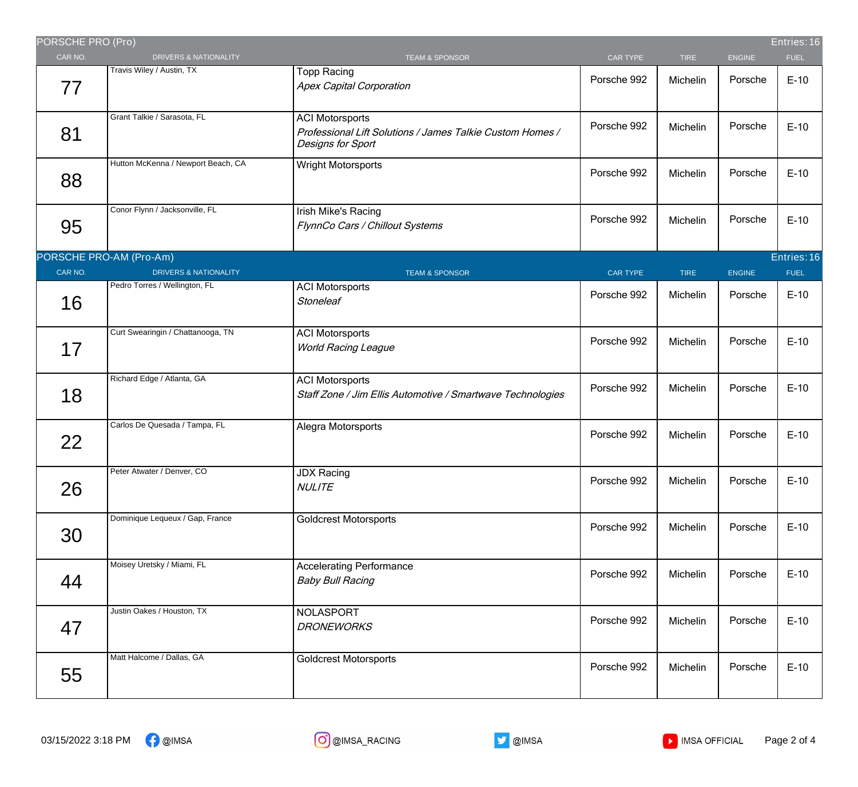| PORSCHE PRO (Pro) |                                    |                                                                                                          |                 |             |               | Entries: 16 |
|-------------------|------------------------------------|----------------------------------------------------------------------------------------------------------|-----------------|-------------|---------------|-------------|
| CAR NO.           | <b>DRIVERS &amp; NATIONALITY</b>   | <b>TEAM &amp; SPONSOR</b>                                                                                | CAR TYPE        | <b>TIRE</b> | <b>ENGINE</b> | <b>FUEL</b> |
| 77                | Travis Wiley / Austin, TX          | <b>Topp Racing</b><br><b>Apex Capital Corporation</b>                                                    | Porsche 992     | Michelin    | Porsche       | $E-10$      |
| 81                | Grant Talkie / Sarasota, FL        | <b>ACI Motorsports</b><br>Professional Lift Solutions / James Talkie Custom Homes /<br>Designs for Sport | Porsche 992     | Michelin    | Porsche       | $E-10$      |
| 88                | Hutton McKenna / Newport Beach, CA | Wright Motorsports                                                                                       | Porsche 992     | Michelin    | Porsche       | $E-10$      |
| 95                | Conor Flynn / Jacksonville, FL     | Irish Mike's Racing<br>FlynnCo Cars / Chillout Systems                                                   | Porsche 992     | Michelin    | Porsche       | $E-10$      |
|                   | PORSCHE PRO-AM (Pro-Am)            |                                                                                                          |                 |             |               | Entries: 16 |
| CAR NO.           | <b>DRIVERS &amp; NATIONALITY</b>   | <b>TEAM &amp; SPONSOR</b>                                                                                | <b>CAR TYPE</b> | <b>TIRE</b> | <b>ENGINE</b> | <b>FUEL</b> |
| 16                | Pedro Torres / Wellington, FL      | <b>ACI Motorsports</b><br><b>Stoneleaf</b>                                                               | Porsche 992     | Michelin    | Porsche       | $E-10$      |
| 17                | Curt Swearingin / Chattanooga, TN  | <b>ACI Motorsports</b><br><b>World Racing League</b>                                                     | Porsche 992     | Michelin    | Porsche       | $E-10$      |
| 18                | Richard Edge / Atlanta, GA         | <b>ACI Motorsports</b><br>Staff Zone / Jim Ellis Automotive / Smartwave Technologies                     | Porsche 992     | Michelin    | Porsche       | $E-10$      |
| 22                | Carlos De Quesada / Tampa, FL      | Alegra Motorsports                                                                                       | Porsche 992     | Michelin    | Porsche       | $E-10$      |
| 26                | Peter Atwater / Denver, CO         | <b>JDX Racing</b><br><b>NULITE</b>                                                                       | Porsche 992     | Michelin    | Porsche       | $E-10$      |
| 30                | Dominique Lequeux / Gap, France    | <b>Goldcrest Motorsports</b>                                                                             | Porsche 992     | Michelin    | Porsche       | $E-10$      |
| 44                | Moisey Uretsky / Miami, FL         | <b>Accelerating Performance</b><br><b>Baby Bull Racing</b>                                               | Porsche 992     | Michelin    | Porsche       | $E-10$      |
| 47                | Justin Oakes / Houston, TX         | NOLASPORT<br><b>DRONEWORKS</b>                                                                           | Porsche 992     | Michelin    | Porsche       | $E-10$      |
| 55                | Matt Halcome / Dallas, GA          | <b>Goldcrest Motorsports</b>                                                                             | Porsche 992     | Michelin    | Porsche       | $E-10$      |

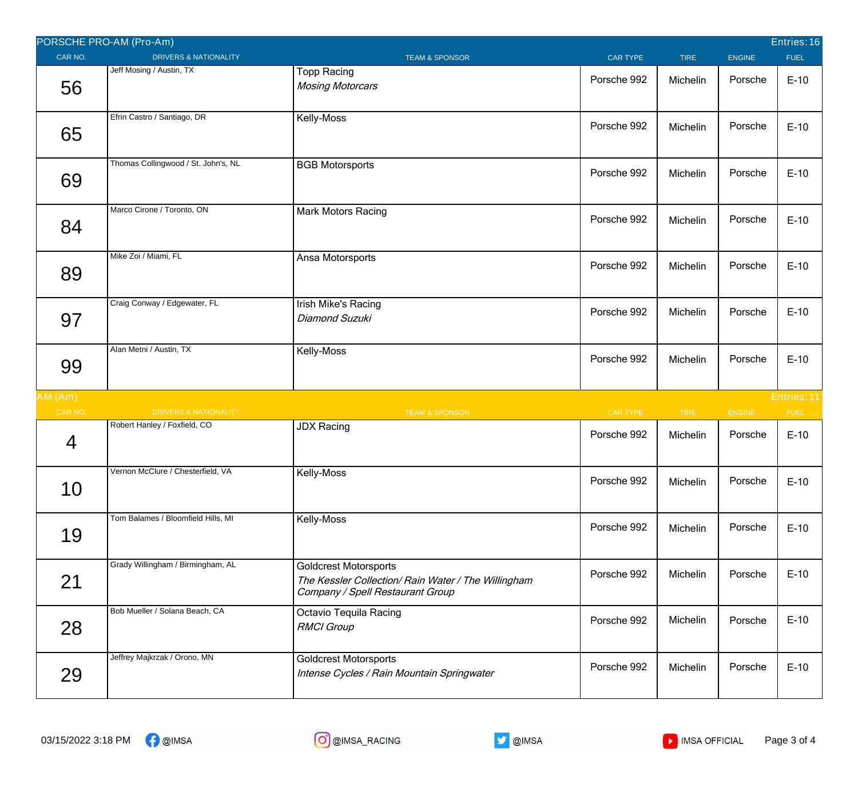|         | PORSCHE PRO-AM (Pro-Am)             |                                                                                                                         |                 |             |               | Entries: 16 |
|---------|-------------------------------------|-------------------------------------------------------------------------------------------------------------------------|-----------------|-------------|---------------|-------------|
| CAR NO. | <b>DRIVERS &amp; NATIONALITY</b>    | <b>TEAM &amp; SPONSOR</b>                                                                                               | <b>CAR TYPE</b> | <b>TIRE</b> | <b>ENGINE</b> | <b>FUEL</b> |
| 56      | Jeff Mosing / Austin, TX            | <b>Topp Racing</b><br><b>Mosing Motorcars</b>                                                                           | Porsche 992     | Michelin    | Porsche       | $E-10$      |
| 65      | Efrin Castro / Santiago, DR         | Kelly-Moss                                                                                                              | Porsche 992     | Michelin    | Porsche       | $E-10$      |
| 69      | Thomas Collingwood / St. John's, NL | <b>BGB Motorsports</b>                                                                                                  | Porsche 992     | Michelin    | Porsche       | $E-10$      |
| 84      | Marco Cirone / Toronto, ON          | <b>Mark Motors Racing</b>                                                                                               | Porsche 992     | Michelin    | Porsche       | $E-10$      |
| 89      | Mike Zoi / Miami, FL                | Ansa Motorsports                                                                                                        | Porsche 992     | Michelin    | Porsche       | $E-10$      |
| 97      | Craig Conway / Edgewater, FL        | Irish Mike's Racing<br>Diamond Suzuki                                                                                   | Porsche 992     | Michelin    | Porsche       | $E-10$      |
| 99      | Alan Metni / Austin, TX             | Kelly-Moss                                                                                                              | Porsche 992     | Michelin    | Porsche       | $E-10$      |
| AM(Am)  |                                     |                                                                                                                         |                 |             |               | Entries: 11 |
| CAR NO. | <b>DRIVERS &amp; NATIONALITY</b>    | <b>TEAM &amp; SPONSOR</b>                                                                                               | CAR TYPE        | <b>TIRE</b> | ENGINE        | <b>FUEL</b> |
| 4       | Robert Hanley / Foxfield, CO        | <b>JDX Racing</b>                                                                                                       | Porsche 992     | Michelin    | Porsche       | $E-10$      |
| 10      | Vernon McClure / Chesterfield, VA   | Kelly-Moss                                                                                                              | Porsche 992     | Michelin    | Porsche       | $E-10$      |
| 19      | Tom Balames / Bloomfield Hills, MI  | Kelly-Moss                                                                                                              | Porsche 992     | Michelin    | Porsche       | $E-10$      |
| 21      | Grady Willingham / Birmingham, AL   | <b>Goldcrest Motorsports</b><br>The Kessler Collection/ Rain Water / The Willingham<br>Company / Spell Restaurant Group | Porsche 992     | Michelin    | Porsche       | $E-10$      |
| 28      | Bob Mueller / Solana Beach, CA      | Octavio Tequila Racing<br><b>RMCI</b> Group                                                                             | Porsche 992     | Michelin    | Porsche       | $E-10$      |
| 29      | Jeffrey Majkrzak / Orono, MN        | <b>Goldcrest Motorsports</b><br>Intense Cycles / Rain Mountain Springwater                                              | Porsche 992     | Michelin    | Porsche       | $E-10$      |